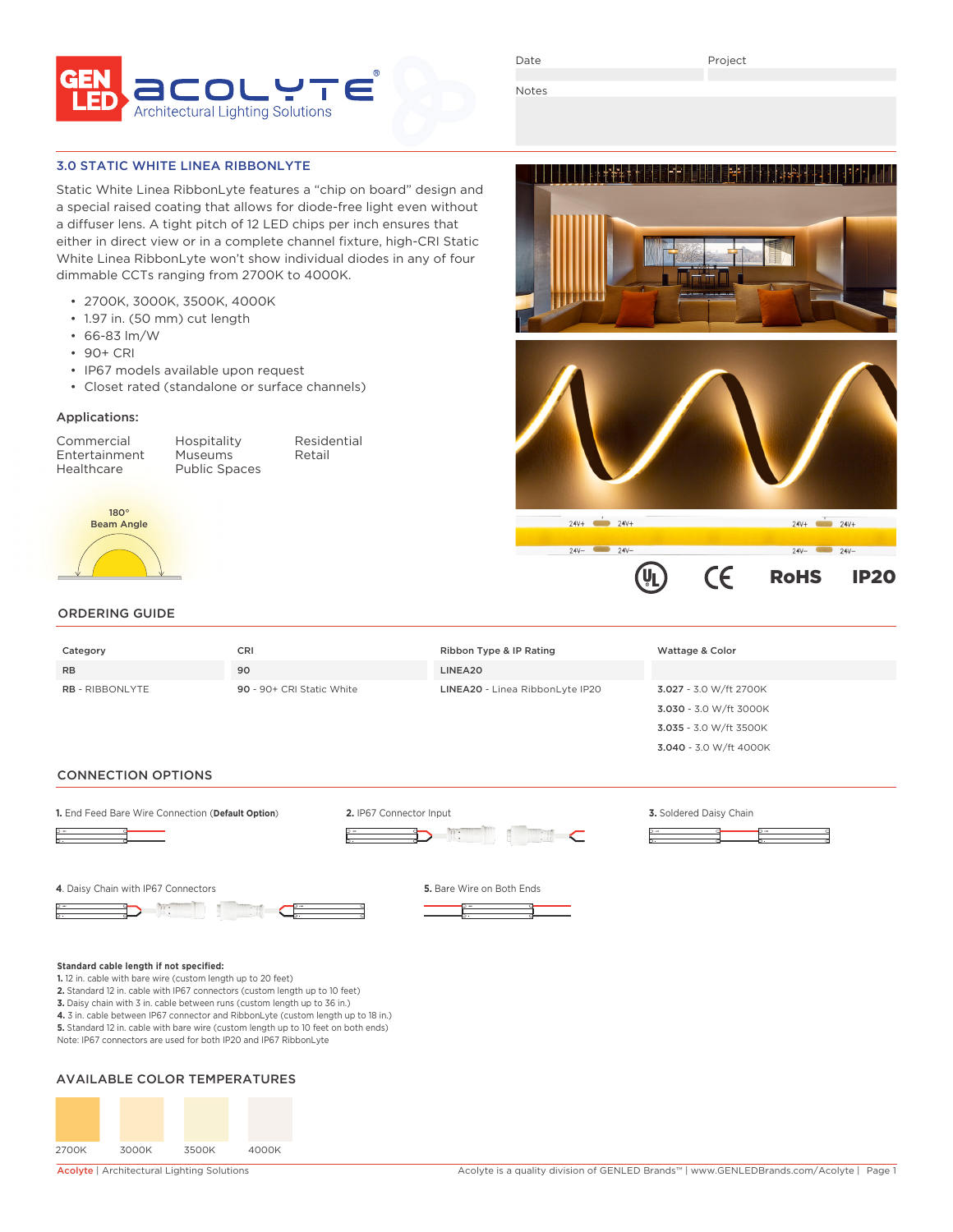

Date

Project

**TEN SEBELEHER EREKA BERKA ALARA ADALAH SEBELAH SEBELAH SEBELAH SEBELAH SEBELAH SEBELAH SEBELAH SEBE** 

 $\epsilon$ 

RoHS IP20

 $24V -$ 

 $24V +$   $24V +$ 

 $24V -$ 

Notes

 $24V +$   $24V +$ 

 $24V -$  24V-

### 3.0 STATIC WHITE LINEA RIBBONLYTE

Static White Linea RibbonLyte features a "chip on board" design and a special raised coating that allows for diode-free light even without a diffuser lens. A tight pitch of 12 LED chips per inch ensures that either in direct view or in a complete channel fixture, high-CRI Static White Linea RibbonLyte won't show individual diodes in any of four dimmable CCTs ranging from 2700K to 4000K.

- 2700K, 3000K, 3500K, 4000K
- 1.97 in. (50 mm) cut length
- 66-83 lm/W
- 90+ CRI
- IP67 models available upon request
- Closet rated (standalone or surface channels)

#### Applications:

Entertainment Museums Retail<br>Healthcare Public Spaces

Commercial Hospitality Residential Public Spaces



## ORDERING GUIDE

| Category               | <b>CRI</b>                | Ribbon Type & IP Rating         | Wattage & Color        |
|------------------------|---------------------------|---------------------------------|------------------------|
| <b>RB</b>              | 90                        | LINEA20                         |                        |
| <b>RB - RIBBONLYTE</b> | 90 - 90+ CRI Static White | LINEA20 - Linea RibbonLyte IP20 | 3.027 - 3.0 W/ft 2700K |
|                        |                           |                                 | 3.030 - 3.0 W/ft 3000K |
|                        |                           |                                 | 3.035 - 3.0 W/ft 3500K |
|                        |                           |                                 | 3.040 - 3.0 W/ft 4000K |

#### CONNECTION OPTIONS



- 
- **4.** 3 in. cable between IP67 connector and RibbonLyte (custom length up to 18 in.)
- **5.** Standard 12 in. cable with bare wire (custom length up to 10 feet on both ends) Note: IP67 connectors are used for both IP20 and IP67 RibbonLyte

## AVAILABLE COLOR TEMPERATURES

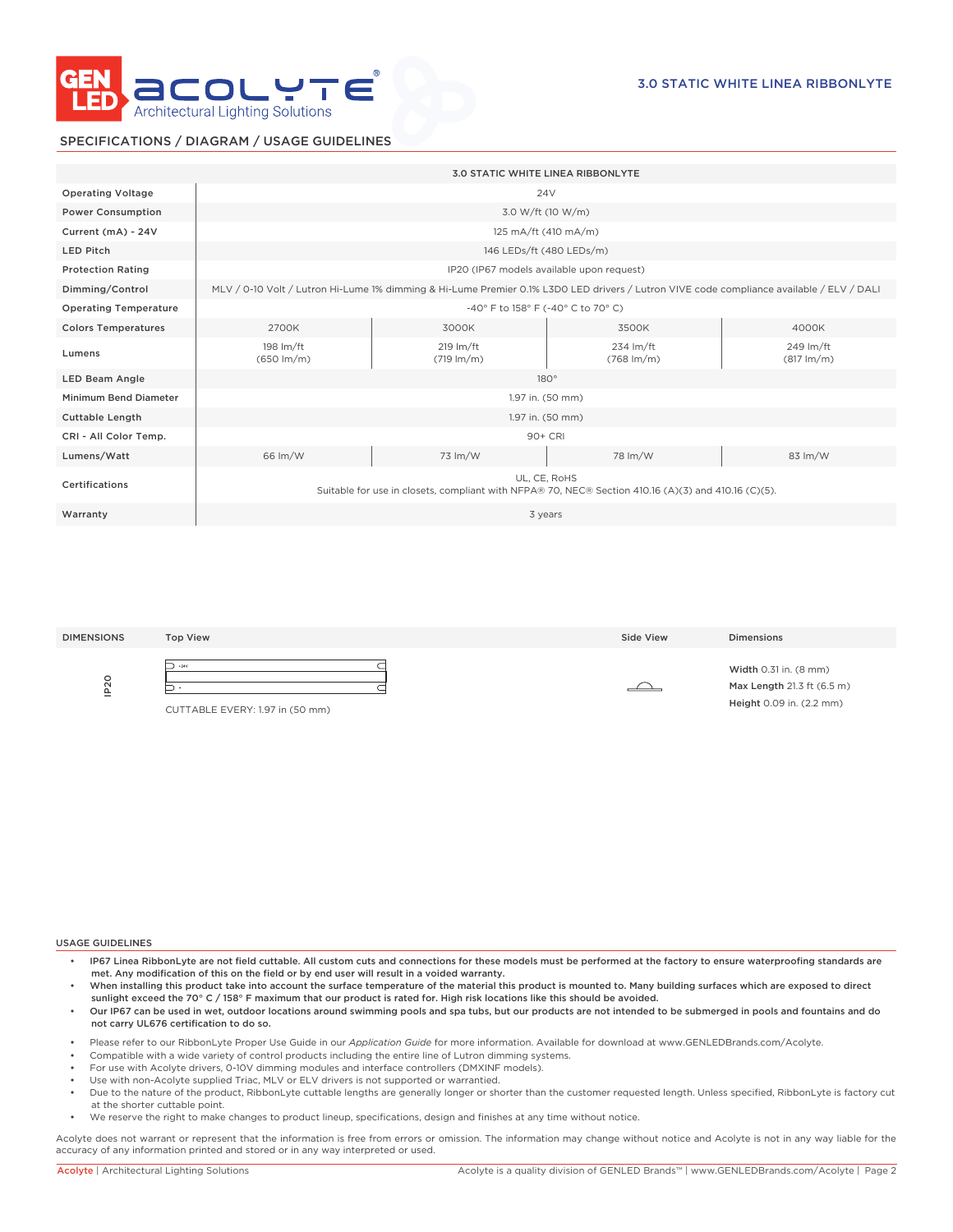

# SPECIFICATIONS / DIAGRAM / USAGE GUIDELINES

|                              | <b>3.0 STATIC WHITE LINEA RIBBONLYTE</b>                                                                                                 |                                             |                                     |                                   |  |
|------------------------------|------------------------------------------------------------------------------------------------------------------------------------------|---------------------------------------------|-------------------------------------|-----------------------------------|--|
| <b>Operating Voltage</b>     | 24 <sub>V</sub>                                                                                                                          |                                             |                                     |                                   |  |
| <b>Power Consumption</b>     | 3.0 W/ft (10 W/m)                                                                                                                        |                                             |                                     |                                   |  |
| Current (mA) - 24V           | 125 mA/ft (410 mA/m)                                                                                                                     |                                             |                                     |                                   |  |
| <b>LED Pitch</b>             | 146 LEDs/ft (480 LEDs/m)                                                                                                                 |                                             |                                     |                                   |  |
| <b>Protection Rating</b>     | IP20 (IP67 models available upon request)                                                                                                |                                             |                                     |                                   |  |
| Dimming/Control              | MLV / 0-10 Volt / Lutron Hi-Lume 1% dimming & Hi-Lume Premier 0.1% L3D0 LED drivers / Lutron VIVE code compliance available / ELV / DALI |                                             |                                     |                                   |  |
| <b>Operating Temperature</b> | -40° F to 158° F (-40° C to 70° C)                                                                                                       |                                             |                                     |                                   |  |
| <b>Colors Temperatures</b>   | 2700K                                                                                                                                    | 3000K                                       | 3500K                               | 4000K                             |  |
| Lumens                       | 198 lm/ft<br>$(650 \, \text{Im/m})$                                                                                                      | $219 \text{ Im/ft}$<br>$(719 \text{ lm/m})$ | 234 lm/ft<br>$(768 \, \text{Im/m})$ | 249 lm/ft<br>$(817 \text{ lm/m})$ |  |
| <b>LED Beam Angle</b>        | $180^\circ$                                                                                                                              |                                             |                                     |                                   |  |
| Minimum Bend Diameter        | 1.97 in. (50 mm)                                                                                                                         |                                             |                                     |                                   |  |
| <b>Cuttable Length</b>       | 1.97 in. (50 mm)                                                                                                                         |                                             |                                     |                                   |  |
| CRI - All Color Temp.        | 90+ CRI                                                                                                                                  |                                             |                                     |                                   |  |
| Lumens/Watt                  | 66 lm/W                                                                                                                                  | 73 lm/W                                     | 78 lm/W                             | 83 lm/W                           |  |
| Certifications               | UL, CE, RoHS<br>Suitable for use in closets, compliant with NFPA® 70, NEC® Section 410.16 (A)(3) and 410.16 (C)(5).                      |                                             |                                     |                                   |  |
| Warranty                     | 3 years                                                                                                                                  |                                             |                                     |                                   |  |
|                              |                                                                                                                                          |                                             |                                     |                                   |  |

| <b>DIMENSIONS</b> | <b>Top View</b>                                | Side View | <b>Dimensions</b>                                                               |
|-------------------|------------------------------------------------|-----------|---------------------------------------------------------------------------------|
| $\circ$<br>으      | ⊃<br>$+24V$<br>CUTTABLE EVERY: 1.97 in (50 mm) |           | Width 0.31 in. (8 mm)<br>Max Length 21.3 ft (6.5 m)<br>Height 0.09 in. (2.2 mm) |

#### USAGE GUIDELINES

- IP67 Linea RibbonLyte are not field cuttable. All custom cuts and connections for these models must be performed at the factory to ensure waterproofing standards are met. Any modification of this on the field or by end user will result in a voided warranty.
- When installing this product take into account the surface temperature of the material this product is mounted to. Many building surfaces which are exposed to direct sunlight exceed the 70° C / 158° F maximum that our product is rated for. High risk locations like this should be avoided.
- Our IP67 can be used in wet, outdoor locations around swimming pools and spa tubs, but our products are not intended to be submerged in pools and fountains and do not carry UL676 certification to do so.
- Please refer to our RibbonLyte Proper Use Guide in our *Application Guide* for more information. Available for download at www.GENLEDBrands.com/Acolyte.
- Compatible with a wide variety of control products including the entire line of Lutron dimming systems.
- For use with Acolyte drivers, 0-10V dimming modules and interface controllers (DMXINF models).
- Use with non-Acolyte supplied Triac, MLV or ELV drivers is not supported or warrantied.
- Due to the nature of the product, RibbonLyte cuttable lengths are generally longer or shorter than the customer requested length. Unless specified, RibbonLyte is factory cut at the shorter cuttable point.
- We reserve the right to make changes to product lineup, specifications, design and finishes at any time without notice.

Acolyte does not warrant or represent that the information is free from errors or omission. The information may change without notice and Acolyte is not in any way liable for the accuracy of any information printed and stored or in any way interpreted or used.